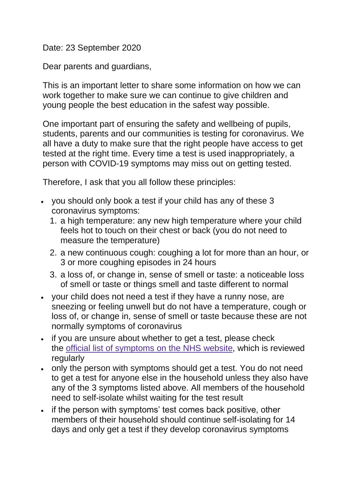## Date: 23 September 2020

Dear parents and guardians,

This is an important letter to share some information on how we can work together to make sure we can continue to give children and young people the best education in the safest way possible.

One important part of ensuring the safety and wellbeing of pupils, students, parents and our communities is testing for coronavirus. We all have a duty to make sure that the right people have access to get tested at the right time. Every time a test is used inappropriately, a person with COVID-19 symptoms may miss out on getting tested.

Therefore, I ask that you all follow these principles:

- you should only book a test if your child has any of these 3 coronavirus symptoms:
	- 1. a high temperature: any new high temperature where your child feels hot to touch on their chest or back (you do not need to measure the temperature)
	- 2. a new continuous cough: coughing a lot for more than an hour, or 3 or more coughing episodes in 24 hours
	- 3. a loss of, or change in, sense of smell or taste: a noticeable loss of smell or taste or things smell and taste different to normal
- your child does not need a test if they have a runny nose, are sneezing or feeling unwell but do not have a temperature, cough or loss of, or change in, sense of smell or taste because these are not normally symptoms of coronavirus
- if you are unsure about whether to get a test, please check the official list of [symptoms](https://www.nhs.uk/conditions/coronavirus-covid-19/symptoms/) on the NHS website, which is reviewed regularly
- only the person with symptoms should get a test. You do not need to get a test for anyone else in the household unless they also have any of the 3 symptoms listed above. All members of the household need to self-isolate whilst waiting for the test result
- if the person with symptoms' test comes back positive, other members of their household should continue self-isolating for 14 days and only get a test if they develop coronavirus symptoms